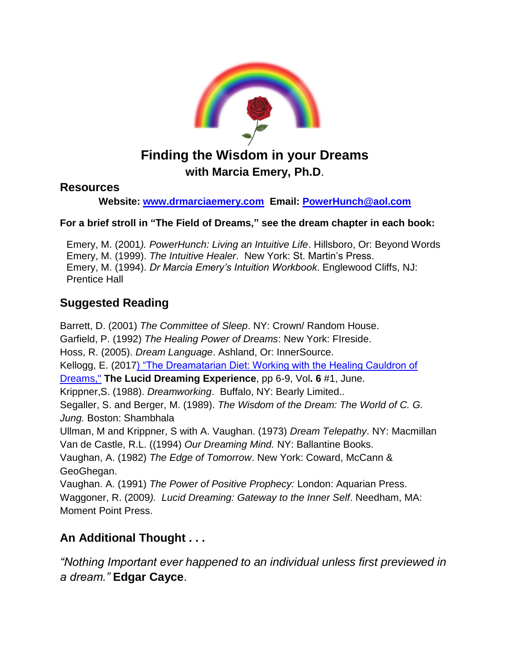

# **Finding the Wisdom in your Dreams with Marcia Emery, Ph.D**.

#### **Resources**

#### **Website: [www.drmarciaemery.com](http://www.drmarciaemery.com/) Email: [PowerHunch@aol.com](mailto:PowerHunch@aol.com)**

#### **For a brief stroll in "The Field of Dreams," see the dream chapter in each book:**

Emery, M. (2001*). PowerHunch: Living an Intuitive Life*. Hillsboro, Or: Beyond Words Emery, M. (1999). *The Intuitive Healer*. New York: St. Martin's Press. Emery, M. (1994). *Dr Marcia Emery's Intuition Workbook*. Englewood Cliffs, NJ: Prentice Hall

## **Suggested Reading**

Barrett, D. (2001) *The Committee of Sleep*. NY: Crown/ Random House. Garfield, P. (1992) *The Healing Power of Dreams*: New York: FIreside. Hoss, R. (2005). *Dream Language*. Ashland, Or: InnerSource. Kellogg, E. (201[7\) "The Dreamatarian Diet: Working with the Healing Cauldron of](https://www.academia.edu/33365865/The_Dreamatarian_Diet_Working_with_the_Healing_Cauldron_of_Dreams)  [Dreams,"](https://www.academia.edu/33365865/The_Dreamatarian_Diet_Working_with_the_Healing_Cauldron_of_Dreams) **The Lucid Dreaming Experience**, pp 6-9, Vol**. 6** #1, June. Krippner,S. (1988). *Dreamworking*. Buffalo, NY: Bearly Limited.*.*  Segaller, S. and Berger, M. (1989). *The Wisdom of the Dream: The World of C. G. Jung.* Boston: Shambhala Ullman, M and Krippner, S with A. Vaughan. (1973) *Dream Telepathy*. NY: Macmillan Van de Castle, R.L. ((1994) *Our Dreaming Mind.* NY: Ballantine Books. Vaughan, A. (1982) *The Edge of Tomorrow*. New York: Coward, McCann & GeoGhegan. Vaughan. A. (1991) *The Power of Positive Prophecy:* London: Aquarian Press. Waggoner, R. (2009*). Lucid Dreaming: Gateway to the Inner Self*. Needham, MA: Moment Point Press.

## **An Additional Thought . . .**

*"Nothing Important ever happened to an individual unless first previewed in a dream."* **Edgar Cayce**.